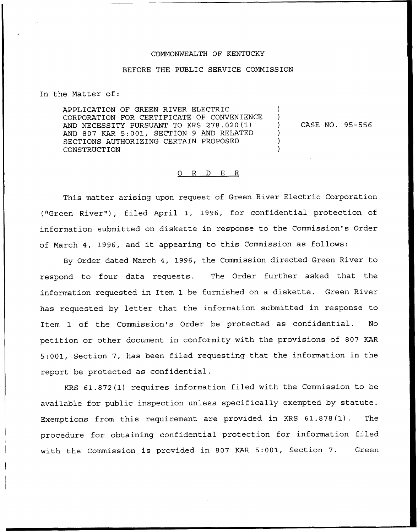## COMMONWEALTH OF KENTUCKY

## BEFORE THE PUBLIC SERVICE COMMISSION

In the Matter of:

APPLICATION OF GREEN RIVER ELECTRIC CORPORATION FOR CERTIFICATE OF CONVENIENCE AND NECESSITY PURSUANT TO KRS 278.020(1) AND 807 KAR 5:001, SECTION <sup>9</sup> AND RELATED SECTIONS AUTHORIZING CERTAIN PROPOSED CONSTRUCTION ) ) ) ) )

) CASE NO. 95-556

## 0 R <sup>D</sup> E R

This matter arising upon request of Green River Electric Corporation ("Green River"), filed April 1, 1996, for confidential protection of information submitted on diskette in response to the Commission's Order of March 4, 1996, and it appearing to this Commission as follows:

By Order dated March 4, 1996, the Commission directed Green River to respond to four data requests. The Order further asked that the information requested in Item 1 be furnished on a diskette. Green River has requested by letter that the information submitted in response to Item 1 of the Commission's Order be protected as confidential. No petition or other document in conformity with the provisions of 807 KAR 5:001, Section 7, has been filed requesting that the information in the report be protected as confidential.

KRS 61.872(1) requires information filed with the Commission to be available for public inspection unless specifically exempted by statute. Exemptions from this requirement are provided in KRS 61.878(1). The procedure for obtaining confidential protection for information filed with the Commission is provided in 807 KAR 5:001, Section 7. Green